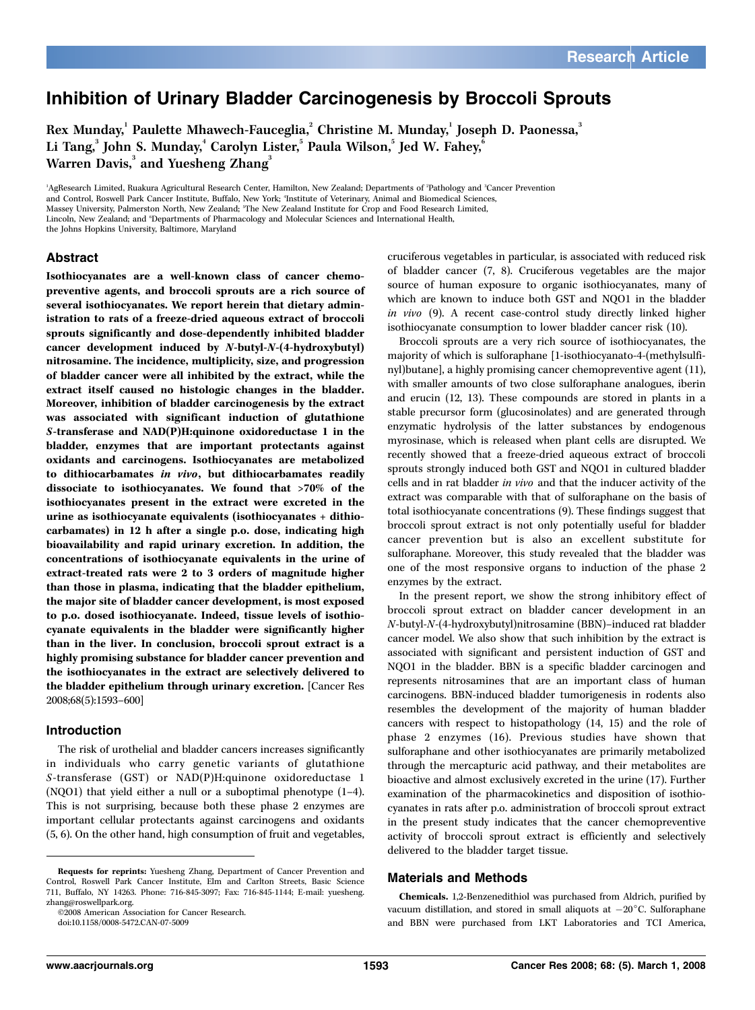# Inhibition of Urinary Bladder Carcinogenesis by Broccoli Sprouts

Rex Munday, $^{\rm 1}$  Paulette Mhawech-Fauceglia, $^{\rm 2}$  Christine M. Munday, $^{\rm 1}$  Joseph D. Paonessa, $^{\rm 3}$ Li Tang, $^3$  John S. Munday, $^4$  Carolyn Lister, $^5$  Paula Wilson, $^5$  Jed W. Fahey, $^6$ Warren Davis,<sup>3</sup> and Yuesheng Zhang<sup>3</sup>

<sup>1</sup>AgResearch Limited, Ruakura Agricultural Research Center, Hamilton, New Zealand; Departments of <sup>2</sup>Pathology and <sup>3</sup>Cancer Prevention and Control, Roswell Park Cancer Institute, Buffalo, New York; 'Institute of Veterinary, Animal and Biomedical Sciences,

Massey University, Palmerston North, New Zealand; <sup>5</sup>The New Zealand Institute for Crop and Food Research Limited,

Lincoln, New Zealand; and 'Departments of Pharmacology and Molecular Sciences and International Health,

the Johns Hopkins University, Baltimore, Maryland

#### Abstract

Isothiocyanates are a well-known class of cancer chemopreventive agents, and broccoli sprouts are a rich source of several isothiocyanates. We report herein that dietary administration to rats of a freeze-dried aqueous extract of broccoli sprouts significantly and dose-dependently inhibited bladder cancer development induced by N-butyl-N-(4-hydroxybutyl) nitrosamine. The incidence, multiplicity, size, and progression of bladder cancer were all inhibited by the extract, while the extract itself caused no histologic changes in the bladder. Moreover, inhibition of bladder carcinogenesis by the extract was associated with significant induction of glutathione S-transferase and NAD(P)H:quinone oxidoreductase 1 in the bladder, enzymes that are important protectants against oxidants and carcinogens. Isothiocyanates are metabolized to dithiocarbamates in vivo, but dithiocarbamates readily dissociate to isothiocyanates. We found that >70% of the isothiocyanates present in the extract were excreted in the urine as isothiocyanate equivalents (isothiocyanates + dithiocarbamates) in 12 h after a single p.o. dose, indicating high bioavailability and rapid urinary excretion. In addition, the concentrations of isothiocyanate equivalents in the urine of extract-treated rats were 2 to 3 orders of magnitude higher than those in plasma, indicating that the bladder epithelium, the major site of bladder cancer development, is most exposed to p.o. dosed isothiocyanate. Indeed, tissue levels of isothiocyanate equivalents in the bladder were significantly higher than in the liver. In conclusion, broccoli sprout extract is a highly promising substance for bladder cancer prevention and the isothiocyanates in the extract are selectively delivered to the bladder epithelium through urinary excretion. [Cancer Res 2008;68(5):1593–600]

#### Introduction

The risk of urothelial and bladder cancers increases significantly in individuals who carry genetic variants of glutathione S-transferase (GST) or NAD(P)H:quinone oxidoreductase 1 (NQO1) that yield either a null or a suboptimal phenotype (1–4). This is not surprising, because both these phase 2 enzymes are important cellular protectants against carcinogens and oxidants (5, 6). On the other hand, high consumption of fruit and vegetables,

I2008 American Association for Cancer Research.

doi:10.1158/0008-5472.CAN-07-5009

cruciferous vegetables in particular, is associated with reduced risk of bladder cancer (7, 8). Cruciferous vegetables are the major source of human exposure to organic isothiocyanates, many of which are known to induce both GST and NQO1 in the bladder in vivo (9). A recent case-control study directly linked higher isothiocyanate consumption to lower bladder cancer risk (10).

Broccoli sprouts are a very rich source of isothiocyanates, the majority of which is sulforaphane [1-isothiocyanato-4-(methylsulfinyl)butane], a highly promising cancer chemopreventive agent (11), with smaller amounts of two close sulforaphane analogues, iberin and erucin (12, 13). These compounds are stored in plants in a stable precursor form (glucosinolates) and are generated through enzymatic hydrolysis of the latter substances by endogenous myrosinase, which is released when plant cells are disrupted. We recently showed that a freeze-dried aqueous extract of broccoli sprouts strongly induced both GST and NQO1 in cultured bladder cells and in rat bladder in vivo and that the inducer activity of the extract was comparable with that of sulforaphane on the basis of total isothiocyanate concentrations (9). These findings suggest that broccoli sprout extract is not only potentially useful for bladder cancer prevention but is also an excellent substitute for sulforaphane. Moreover, this study revealed that the bladder was one of the most responsive organs to induction of the phase 2 enzymes by the extract.

In the present report, we show the strong inhibitory effect of broccoli sprout extract on bladder cancer development in an N-butyl-N-(4-hydroxybutyl)nitrosamine (BBN)–induced rat bladder cancer model. We also show that such inhibition by the extract is associated with significant and persistent induction of GST and NQO1 in the bladder. BBN is a specific bladder carcinogen and represents nitrosamines that are an important class of human carcinogens. BBN-induced bladder tumorigenesis in rodents also resembles the development of the majority of human bladder cancers with respect to histopathology (14, 15) and the role of phase 2 enzymes (16). Previous studies have shown that sulforaphane and other isothiocyanates are primarily metabolized through the mercapturic acid pathway, and their metabolites are bioactive and almost exclusively excreted in the urine (17). Further examination of the pharmacokinetics and disposition of isothiocyanates in rats after p.o. administration of broccoli sprout extract in the present study indicates that the cancer chemopreventive activity of broccoli sprout extract is efficiently and selectively delivered to the bladder target tissue.

#### Materials and Methods

Chemicals. 1,2-Benzenedithiol was purchased from Aldrich, purified by vacuum distillation, and stored in small aliquots at  $-20^{\circ}$ C. Sulforaphane and BBN were purchased from LKT Laboratories and TCI America,

Requests for reprints: Yuesheng Zhang, Department of Cancer Prevention and Control, Roswell Park Cancer Institute, Elm and Carlton Streets, Basic Science 711, Buffalo, NY 14263. Phone: 716-845-3097; Fax: 716-845-1144; E-mail: yuesheng. zhang@roswellpark.org.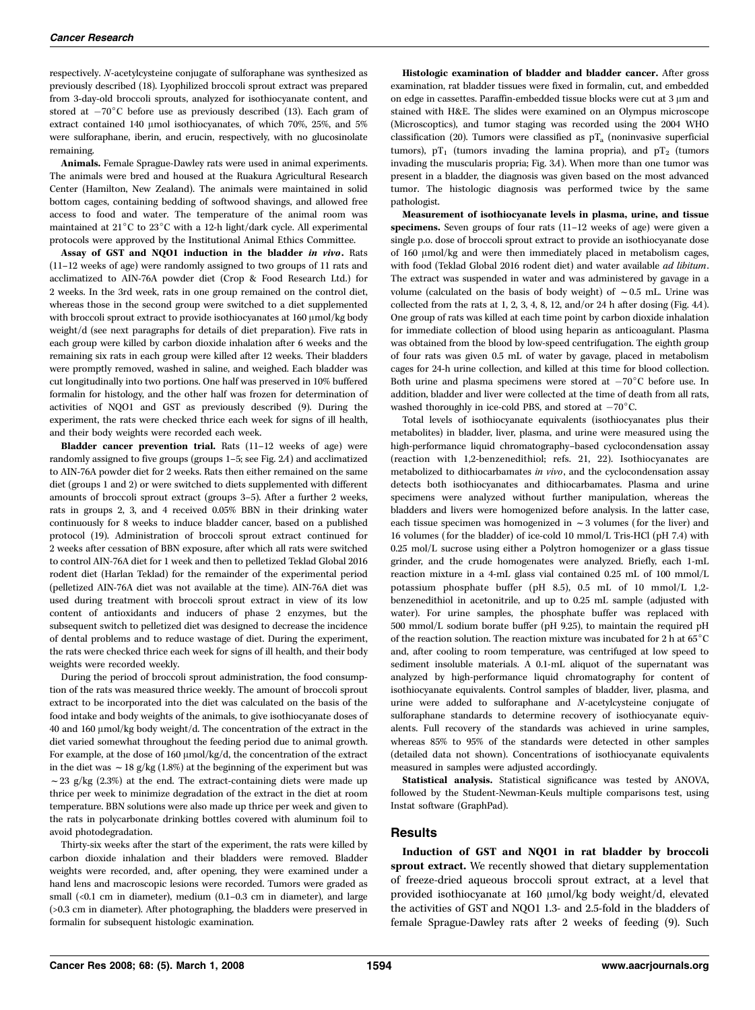respectively. N-acetylcysteine conjugate of sulforaphane was synthesized as previously described (18). Lyophilized broccoli sprout extract was prepared from 3-day-old broccoli sprouts, analyzed for isothiocyanate content, and stored at  $-70^{\circ}$ C before use as previously described (13). Each gram of extract contained 140  $\mu$ mol isothiocyanates, of which 70%, 25%, and 5% were sulforaphane, iberin, and erucin, respectively, with no glucosinolate remaining.

Animals. Female Sprague-Dawley rats were used in animal experiments. The animals were bred and housed at the Ruakura Agricultural Research Center (Hamilton, New Zealand). The animals were maintained in solid bottom cages, containing bedding of softwood shavings, and allowed free access to food and water. The temperature of the animal room was maintained at  $21^{\circ}$ C to  $23^{\circ}$ C with a 12-h light/dark cycle. All experimental protocols were approved by the Institutional Animal Ethics Committee.

Assay of GST and NQO1 induction in the bladder in vivo. Rats (11–12 weeks of age) were randomly assigned to two groups of 11 rats and acclimatized to AIN-76A powder diet (Crop & Food Research Ltd.) for 2 weeks. In the 3rd week, rats in one group remained on the control diet, whereas those in the second group were switched to a diet supplemented with broccoli sprout extract to provide isothiocyanates at 160  $\mu$ mol/kg body weight/d (see next paragraphs for details of diet preparation). Five rats in each group were killed by carbon dioxide inhalation after 6 weeks and the remaining six rats in each group were killed after 12 weeks. Their bladders were promptly removed, washed in saline, and weighed. Each bladder was cut longitudinally into two portions. One half was preserved in 10% buffered formalin for histology, and the other half was frozen for determination of activities of NQO1 and GST as previously described (9). During the experiment, the rats were checked thrice each week for signs of ill health, and their body weights were recorded each week.

Bladder cancer prevention trial. Rats (11–12 weeks of age) were randomly assigned to five groups (groups 1–5; see Fig. 2A) and acclimatized to AIN-76A powder diet for 2 weeks. Rats then either remained on the same diet (groups 1 and 2) or were switched to diets supplemented with different amounts of broccoli sprout extract (groups 3–5). After a further 2 weeks, rats in groups 2, 3, and 4 received 0.05% BBN in their drinking water continuously for 8 weeks to induce bladder cancer, based on a published protocol (19). Administration of broccoli sprout extract continued for 2 weeks after cessation of BBN exposure, after which all rats were switched to control AIN-76A diet for 1 week and then to pelletized Teklad Global 2016 rodent diet (Harlan Teklad) for the remainder of the experimental period (pelletized AIN-76A diet was not available at the time). AIN-76A diet was used during treatment with broccoli sprout extract in view of its low content of antioxidants and inducers of phase 2 enzymes, but the subsequent switch to pelletized diet was designed to decrease the incidence of dental problems and to reduce wastage of diet. During the experiment, the rats were checked thrice each week for signs of ill health, and their body weights were recorded weekly.

During the period of broccoli sprout administration, the food consumption of the rats was measured thrice weekly. The amount of broccoli sprout extract to be incorporated into the diet was calculated on the basis of the food intake and body weights of the animals, to give isothiocyanate doses of 40 and 160 µmol/kg body weight/d. The concentration of the extract in the diet varied somewhat throughout the feeding period due to animal growth. For example, at the dose of 160  $\mu$ mol/kg/d, the concentration of the extract in the diet was  $\sim$  18 g/kg (1.8%) at the beginning of the experiment but was  $\sim$  23 g/kg (2.3%) at the end. The extract-containing diets were made up thrice per week to minimize degradation of the extract in the diet at room temperature. BBN solutions were also made up thrice per week and given to the rats in polycarbonate drinking bottles covered with aluminum foil to avoid photodegradation.

Thirty-six weeks after the start of the experiment, the rats were killed by carbon dioxide inhalation and their bladders were removed. Bladder weights were recorded, and, after opening, they were examined under a hand lens and macroscopic lesions were recorded. Tumors were graded as small (<0.1 cm in diameter), medium (0.1–0.3 cm in diameter), and large (>0.3 cm in diameter). After photographing, the bladders were preserved in formalin for subsequent histologic examination.

Histologic examination of bladder and bladder cancer. After gross examination, rat bladder tissues were fixed in formalin, cut, and embedded on edge in cassettes. Paraffin-embedded tissue blocks were cut at 3 µm and stained with H&E. The slides were examined on an Olympus microscope (Microscoptics), and tumor staging was recorded using the 2004 WHO classification (20). Tumors were classified as  $pT_a$  (noninvasive superficial tumors),  $pT_1$  (tumors invading the lamina propria), and  $pT_2$  (tumors invading the muscularis propria; Fig. 3A). When more than one tumor was present in a bladder, the diagnosis was given based on the most advanced tumor. The histologic diagnosis was performed twice by the same pathologist.

Measurement of isothiocyanate levels in plasma, urine, and tissue specimens. Seven groups of four rats (11–12 weeks of age) were given a single p.o. dose of broccoli sprout extract to provide an isothiocyanate dose of 160  $\mu$ mol/kg and were then immediately placed in metabolism cages, with food (Teklad Global 2016 rodent diet) and water available *ad libitum*. The extract was suspended in water and was administered by gavage in a volume (calculated on the basis of body weight) of  $\sim 0.5$  mL. Urine was collected from the rats at 1, 2, 3, 4, 8, 12, and/or 24 h after dosing (Fig. 4A). One group of rats was killed at each time point by carbon dioxide inhalation for immediate collection of blood using heparin as anticoagulant. Plasma was obtained from the blood by low-speed centrifugation. The eighth group of four rats was given 0.5 mL of water by gavage, placed in metabolism cages for 24-h urine collection, and killed at this time for blood collection. Both urine and plasma specimens were stored at  $-70^{\circ}$ C before use. In addition, bladder and liver were collected at the time of death from all rats, washed thoroughly in ice-cold PBS, and stored at  $-70^{\circ}$ C.

Total levels of isothiocyanate equivalents (isothiocyanates plus their metabolites) in bladder, liver, plasma, and urine were measured using the high-performance liquid chromatography–based cyclocondensation assay (reaction with 1,2-benzenedithiol; refs. 21, 22). Isothiocyanates are metabolized to dithiocarbamates in vivo, and the cyclocondensation assay detects both isothiocyanates and dithiocarbamates. Plasma and urine specimens were analyzed without further manipulation, whereas the bladders and livers were homogenized before analysis. In the latter case, each tissue specimen was homogenized in  $\sim$  3 volumes (for the liver) and 16 volumes (for the bladder) of ice-cold 10 mmol/L Tris-HCl (pH 7.4) with 0.25 mol/L sucrose using either a Polytron homogenizer or a glass tissue grinder, and the crude homogenates were analyzed. Briefly, each 1-mL reaction mixture in a 4-mL glass vial contained 0.25 mL of 100 mmol/L potassium phosphate buffer (pH 8.5), 0.5 mL of 10 mmol/L 1,2 benzenedithiol in acetonitrile, and up to 0.25 mL sample (adjusted with water). For urine samples, the phosphate buffer was replaced with 500 mmol/L sodium borate buffer (pH 9.25), to maintain the required pH of the reaction solution. The reaction mixture was incubated for 2 h at  $65\,^{\circ}\mathrm{C}$ and, after cooling to room temperature, was centrifuged at low speed to sediment insoluble materials. A 0.1-mL aliquot of the supernatant was analyzed by high-performance liquid chromatography for content of isothiocyanate equivalents. Control samples of bladder, liver, plasma, and urine were added to sulforaphane and N-acetylcysteine conjugate of sulforaphane standards to determine recovery of isothiocyanate equivalents. Full recovery of the standards was achieved in urine samples, whereas 85% to 95% of the standards were detected in other samples (detailed data not shown). Concentrations of isothiocyanate equivalents measured in samples were adjusted accordingly.

Statistical analysis. Statistical significance was tested by ANOVA, followed by the Student-Newman-Keuls multiple comparisons test, using Instat software (GraphPad).

## **Results**

Induction of GST and NQO1 in rat bladder by broccoli sprout extract. We recently showed that dietary supplementation of freeze-dried aqueous broccoli sprout extract, at a level that provided isothiocyanate at 160 µmol/kg body weight/d, elevated the activities of GST and NQO1 1.3- and 2.5-fold in the bladders of female Sprague-Dawley rats after 2 weeks of feeding (9). Such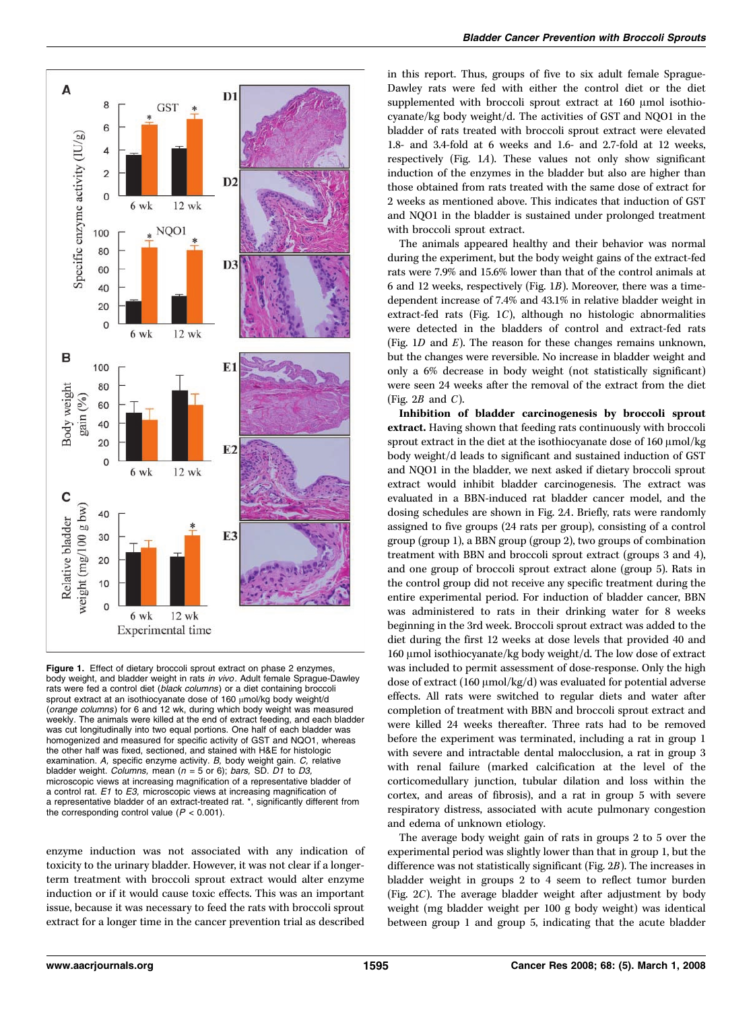

Figure 1. Effect of dietary broccoli sprout extract on phase 2 enzymes, body weight, and bladder weight in rats in vivo. Adult female Sprague-Dawley rats were fed a control diet (black columns) or a diet containing broccoli sprout extract at an isothiocyanate dose of 160  $\mu$ mol/kg body weight/d (orange columns) for 6 and 12 wk, during which body weight was measured weekly. The animals were killed at the end of extract feeding, and each bladder was cut longitudinally into two equal portions. One half of each bladder was homogenized and measured for specific activity of GST and NQO1, whereas the other half was fixed, sectioned, and stained with H&E for histologic examination. A, specific enzyme activity. B, body weight gain. C, relative bladder weight. Columns, mean ( $n = 5$  or 6); bars, SD. D1 to D3, microscopic views at increasing magnification of a representative bladder of a control rat. E1 to E3, microscopic views at increasing magnification of a representative bladder of an extract-treated rat. \*, significantly different from the corresponding control value ( $P < 0.001$ ).

enzyme induction was not associated with any indication of toxicity to the urinary bladder. However, it was not clear if a longerterm treatment with broccoli sprout extract would alter enzyme induction or if it would cause toxic effects. This was an important issue, because it was necessary to feed the rats with broccoli sprout extract for a longer time in the cancer prevention trial as described

in this report. Thus, groups of five to six adult female Sprague-Dawley rats were fed with either the control diet or the diet supplemented with broccoli sprout extract at 160 µmol isothiocyanate/kg body weight/d. The activities of GST and NQO1 in the bladder of rats treated with broccoli sprout extract were elevated 1.8- and 3.4-fold at 6 weeks and 1.6- and 2.7-fold at 12 weeks, respectively (Fig. 1A). These values not only show significant induction of the enzymes in the bladder but also are higher than those obtained from rats treated with the same dose of extract for 2 weeks as mentioned above. This indicates that induction of GST and NQO1 in the bladder is sustained under prolonged treatment with broccoli sprout extract.

The animals appeared healthy and their behavior was normal during the experiment, but the body weight gains of the extract-fed rats were 7.9% and 15.6% lower than that of the control animals at 6 and 12 weeks, respectively (Fig. 1B). Moreover, there was a timedependent increase of 7.4% and 43.1% in relative bladder weight in extract-fed rats (Fig. 1C), although no histologic abnormalities were detected in the bladders of control and extract-fed rats (Fig.  $1D$  and  $E$ ). The reason for these changes remains unknown, but the changes were reversible. No increase in bladder weight and only a 6% decrease in body weight (not statistically significant) were seen 24 weeks after the removal of the extract from the diet (Fig.  $2B$  and C).

Inhibition of bladder carcinogenesis by broccoli sprout extract. Having shown that feeding rats continuously with broccoli sprout extract in the diet at the isothiocyanate dose of  $160 \mu$ mol/kg body weight/d leads to significant and sustained induction of GST and NQO1 in the bladder, we next asked if dietary broccoli sprout extract would inhibit bladder carcinogenesis. The extract was evaluated in a BBN-induced rat bladder cancer model, and the dosing schedules are shown in Fig. 2A. Briefly, rats were randomly assigned to five groups (24 rats per group), consisting of a control group (group 1), a BBN group (group 2), two groups of combination treatment with BBN and broccoli sprout extract (groups 3 and 4), and one group of broccoli sprout extract alone (group 5). Rats in the control group did not receive any specific treatment during the entire experimental period. For induction of bladder cancer, BBN was administered to rats in their drinking water for 8 weeks beginning in the 3rd week. Broccoli sprout extract was added to the diet during the first 12 weeks at dose levels that provided 40 and 160 µmol isothiocyanate/kg body weight/d. The low dose of extract was included to permit assessment of dose-response. Only the high dose of extract (160  $\mu$ mol/kg/d) was evaluated for potential adverse effects. All rats were switched to regular diets and water after completion of treatment with BBN and broccoli sprout extract and were killed 24 weeks thereafter. Three rats had to be removed before the experiment was terminated, including a rat in group 1 with severe and intractable dental malocclusion, a rat in group 3 with renal failure (marked calcification at the level of the corticomedullary junction, tubular dilation and loss within the cortex, and areas of fibrosis), and a rat in group 5 with severe respiratory distress, associated with acute pulmonary congestion and edema of unknown etiology.

The average body weight gain of rats in groups 2 to 5 over the experimental period was slightly lower than that in group 1, but the difference was not statistically significant (Fig. 2B). The increases in bladder weight in groups 2 to 4 seem to reflect tumor burden (Fig. 2C). The average bladder weight after adjustment by body weight (mg bladder weight per 100 g body weight) was identical between group 1 and group 5, indicating that the acute bladder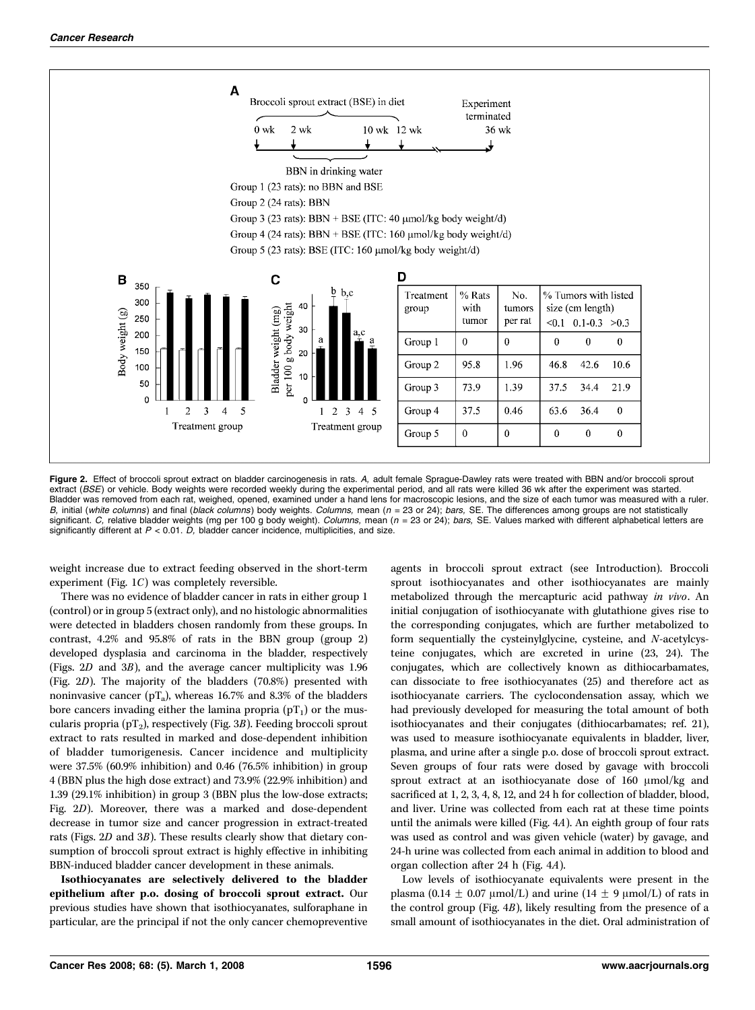

Figure 2. Effect of broccoli sprout extract on bladder carcinogenesis in rats. A, adult female Sprague-Dawley rats were treated with BBN and/or broccoli sprout extract (BSE) or vehicle. Body weights were recorded weekly during the experimental period, and all rats were killed 36 wk after the experiment was started. Bladder was removed from each rat, weighed, opened, examined under a hand lens for macroscopic lesions, and the size of each tumor was measured with a ruler.<br>*B,* initial (white columns) and final (black columns) body weig significant. C, relative bladder weights (mg per 100 g body weight). Columns, mean ( $n = 23$  or 24); bars, SE. Values marked with different alphabetical letters are significantly different at  $P < 0.01$ . D, bladder cancer incidence, multiplicities, and size.

weight increase due to extract feeding observed in the short-term experiment (Fig. 1C) was completely reversible.

There was no evidence of bladder cancer in rats in either group 1 (control) or in group 5 (extract only), and no histologic abnormalities were detected in bladders chosen randomly from these groups. In contrast, 4.2% and 95.8% of rats in the BBN group (group 2) developed dysplasia and carcinoma in the bladder, respectively (Figs. 2D and 3B), and the average cancer multiplicity was 1.96 (Fig. 2D). The majority of the bladders (70.8%) presented with noninvasive cancer ( $pT_a$ ), whereas 16.7% and 8.3% of the bladders bore cancers invading either the lamina propria  $(pT_1)$  or the muscularis propria ( $pT_2$ ), respectively (Fig. 3B). Feeding broccoli sprout extract to rats resulted in marked and dose-dependent inhibition of bladder tumorigenesis. Cancer incidence and multiplicity were 37.5% (60.9% inhibition) and 0.46 (76.5% inhibition) in group 4 (BBN plus the high dose extract) and 73.9% (22.9% inhibition) and 1.39 (29.1% inhibition) in group 3 (BBN plus the low-dose extracts; Fig. 2D). Moreover, there was a marked and dose-dependent decrease in tumor size and cancer progression in extract-treated rats (Figs. 2D and 3B). These results clearly show that dietary consumption of broccoli sprout extract is highly effective in inhibiting BBN-induced bladder cancer development in these animals.

Isothiocyanates are selectively delivered to the bladder epithelium after p.o. dosing of broccoli sprout extract. Our previous studies have shown that isothiocyanates, sulforaphane in particular, are the principal if not the only cancer chemopreventive

agents in broccoli sprout extract (see Introduction). Broccoli sprout isothiocyanates and other isothiocyanates are mainly metabolized through the mercapturic acid pathway in vivo. An initial conjugation of isothiocyanate with glutathione gives rise to the corresponding conjugates, which are further metabolized to form sequentially the cysteinylglycine, cysteine, and N-acetylcysteine conjugates, which are excreted in urine (23, 24). The conjugates, which are collectively known as dithiocarbamates, can dissociate to free isothiocyanates (25) and therefore act as isothiocyanate carriers. The cyclocondensation assay, which we had previously developed for measuring the total amount of both isothiocyanates and their conjugates (dithiocarbamates; ref. 21), was used to measure isothiocyanate equivalents in bladder, liver, plasma, and urine after a single p.o. dose of broccoli sprout extract. Seven groups of four rats were dosed by gavage with broccoli sprout extract at an isothiocyanate dose of  $160 \mu \text{mol/kg}$  and sacrificed at 1, 2, 3, 4, 8, 12, and 24 h for collection of bladder, blood, and liver. Urine was collected from each rat at these time points until the animals were killed (Fig. 4A). An eighth group of four rats was used as control and was given vehicle (water) by gavage, and 24-h urine was collected from each animal in addition to blood and organ collection after 24 h (Fig. 4A).

Low levels of isothiocyanate equivalents were present in the plasma (0.14  $\pm$  0.07  $\mu$ mol/L) and urine (14  $\pm$  9  $\mu$ mol/L) of rats in the control group (Fig. 4B), likely resulting from the presence of a small amount of isothiocyanates in the diet. Oral administration of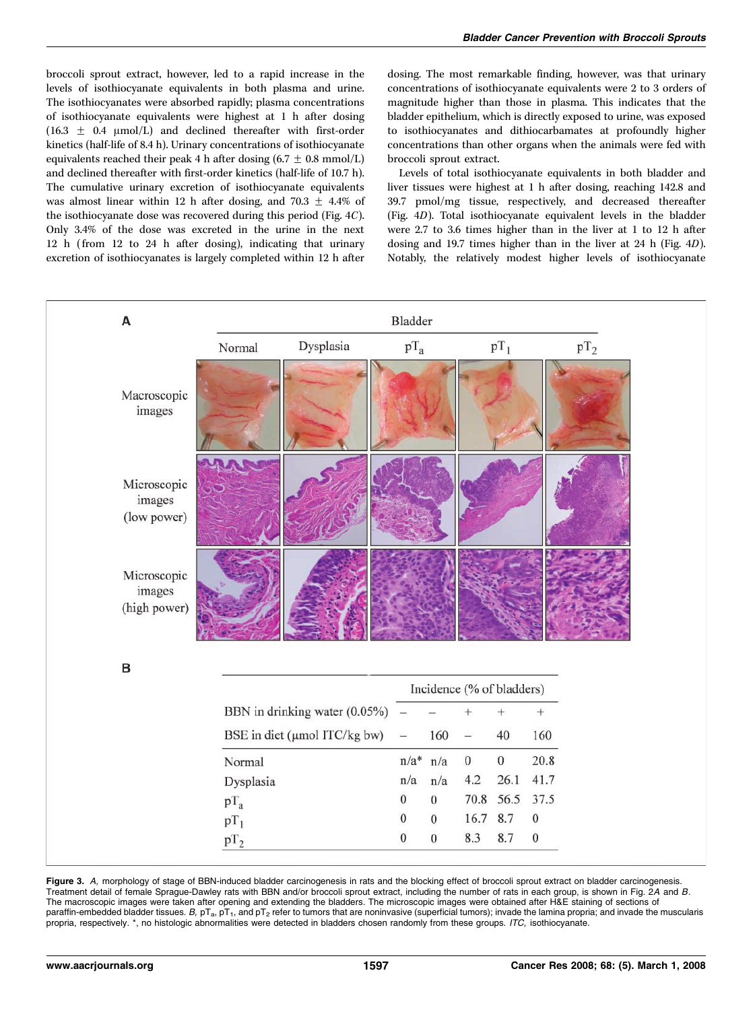broccoli sprout extract, however, led to a rapid increase in the levels of isothiocyanate equivalents in both plasma and urine. The isothiocyanates were absorbed rapidly; plasma concentrations of isothiocyanate equivalents were highest at 1 h after dosing  $(16.3 \pm 0.4 \mu mol/L)$  and declined thereafter with first-order kinetics (half-life of 8.4 h). Urinary concentrations of isothiocyanate equivalents reached their peak 4 h after dosing  $(6.7 \pm 0.8 \text{ mmol/L})$ and declined thereafter with first-order kinetics (half-life of 10.7 h). The cumulative urinary excretion of isothiocyanate equivalents was almost linear within 12 h after dosing, and 70.3  $\pm$  4.4% of the isothiocyanate dose was recovered during this period (Fig. 4C). Only 3.4% of the dose was excreted in the urine in the next 12 h (from 12 to 24 h after dosing), indicating that urinary excretion of isothiocyanates is largely completed within 12 h after dosing. The most remarkable finding, however, was that urinary concentrations of isothiocyanate equivalents were 2 to 3 orders of magnitude higher than those in plasma. This indicates that the bladder epithelium, which is directly exposed to urine, was exposed to isothiocyanates and dithiocarbamates at profoundly higher concentrations than other organs when the animals were fed with broccoli sprout extract.

Levels of total isothiocyanate equivalents in both bladder and liver tissues were highest at 1 h after dosing, reaching 142.8 and 39.7 pmol/mg tissue, respectively, and decreased thereafter (Fig. 4D). Total isothiocyanate equivalent levels in the bladder were 2.7 to 3.6 times higher than in the liver at 1 to 12 h after dosing and 19.7 times higher than in the liver at 24 h (Fig. 4D). Notably, the relatively modest higher levels of isothiocyanate



**Figure 3.** A, morphology of stage of BBN-induced bladder carcinogenesis in rats and the blocking effect of broccoli sprout extract on bladder carcinogenesis.<br>Treatment detail of female Sprague-Dawley rats with BBN and/or The macroscopic images were taken after opening and extending the bladders. The microscopic images were obtained after H&E staining of sections of paraffin-embedded bladder tissues. B,  $pT_a$ ,  $pT_1$ , and  $pT_2$  refer to tumors that are noninvasive (superficial tumors); invade the lamina propria; and invade the muscularis propria, respectively. \*, no histologic abnormalities were detected in bladders chosen randomly from these groups. ITC, isothiocyanate.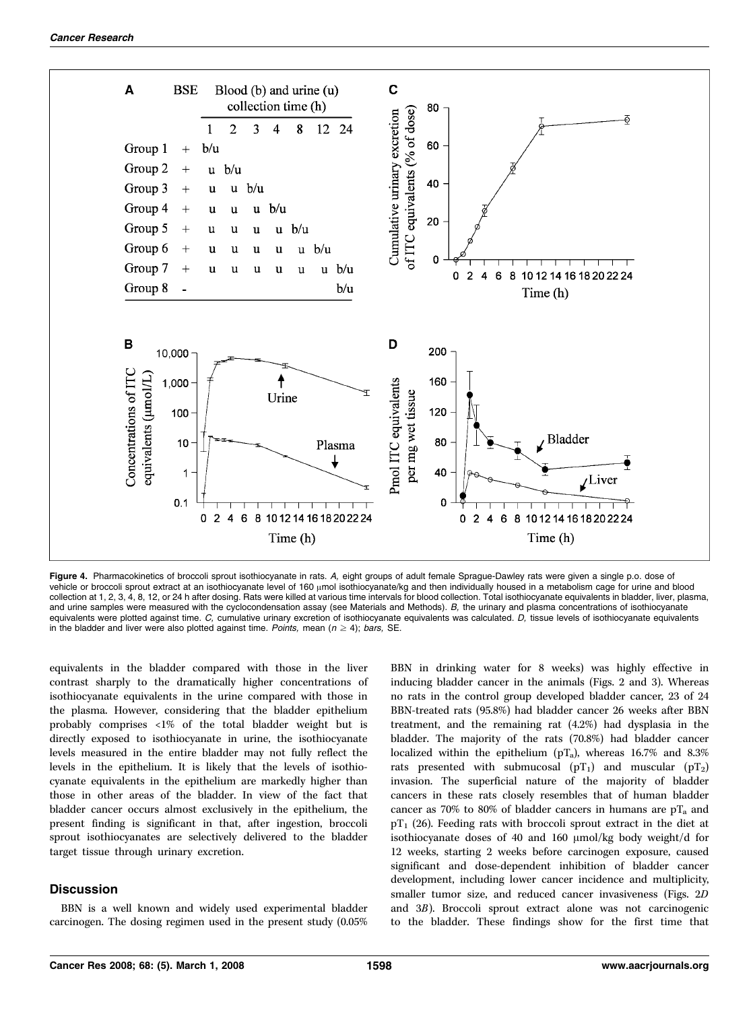

Figure 4. Pharmacokinetics of broccoli sprout isothiocyanate in rats. A, eight groups of adult female Sprague-Dawley rats were given a single p.o. dose of vehicle or broccoli sprout extract at an isothiocyanate level of 160 µmol isothiocyanate/kg and then individually housed in a metabolism cage for urine and blood collection at 1, 2, 3, 4, 8, 12, or 24 h after dosing. Rats were killed at various time intervals for blood collection. Total isothiocyanate equivalents in bladder, liver, plasma, and urine samples were measured with the cyclocondensation assay (see Materials and Methods). B, the urinary and plasma concentrations of isothiocyanate equivalents were plotted against time. C, cumulative urinary excretion of isothiocyanate equivalents was calculated. D, tissue levels of isothiocyanate equivalents in the bladder and liver were also plotted against time. Points, mean ( $n \ge 4$ ); bars, SE.

equivalents in the bladder compared with those in the liver contrast sharply to the dramatically higher concentrations of isothiocyanate equivalents in the urine compared with those in the plasma. However, considering that the bladder epithelium probably comprises <1% of the total bladder weight but is directly exposed to isothiocyanate in urine, the isothiocyanate levels measured in the entire bladder may not fully reflect the levels in the epithelium. It is likely that the levels of isothiocyanate equivalents in the epithelium are markedly higher than those in other areas of the bladder. In view of the fact that bladder cancer occurs almost exclusively in the epithelium, the present finding is significant in that, after ingestion, broccoli sprout isothiocyanates are selectively delivered to the bladder target tissue through urinary excretion.

## **Discussion**

BBN is a well known and widely used experimental bladder carcinogen. The dosing regimen used in the present study (0.05% BBN in drinking water for 8 weeks) was highly effective in inducing bladder cancer in the animals (Figs. 2 and 3). Whereas no rats in the control group developed bladder cancer, 23 of 24 BBN-treated rats (95.8%) had bladder cancer 26 weeks after BBN treatment, and the remaining rat (4.2%) had dysplasia in the bladder. The majority of the rats (70.8%) had bladder cancer localized within the epithelium ( $pT_a$ ), whereas 16.7% and 8.3% rats presented with submucosal  $(pT_1)$  and muscular  $(pT_2)$ invasion. The superficial nature of the majority of bladder cancers in these rats closely resembles that of human bladder cancer as 70% to 80% of bladder cancers in humans are  $pT_a$  and  $pT_1$  (26). Feeding rats with broccoli sprout extract in the diet at isothiocyanate doses of 40 and 160  $\mu$ mol/kg body weight/d for 12 weeks, starting 2 weeks before carcinogen exposure, caused significant and dose-dependent inhibition of bladder cancer development, including lower cancer incidence and multiplicity, smaller tumor size, and reduced cancer invasiveness (Figs. 2D and 3B). Broccoli sprout extract alone was not carcinogenic to the bladder. These findings show for the first time that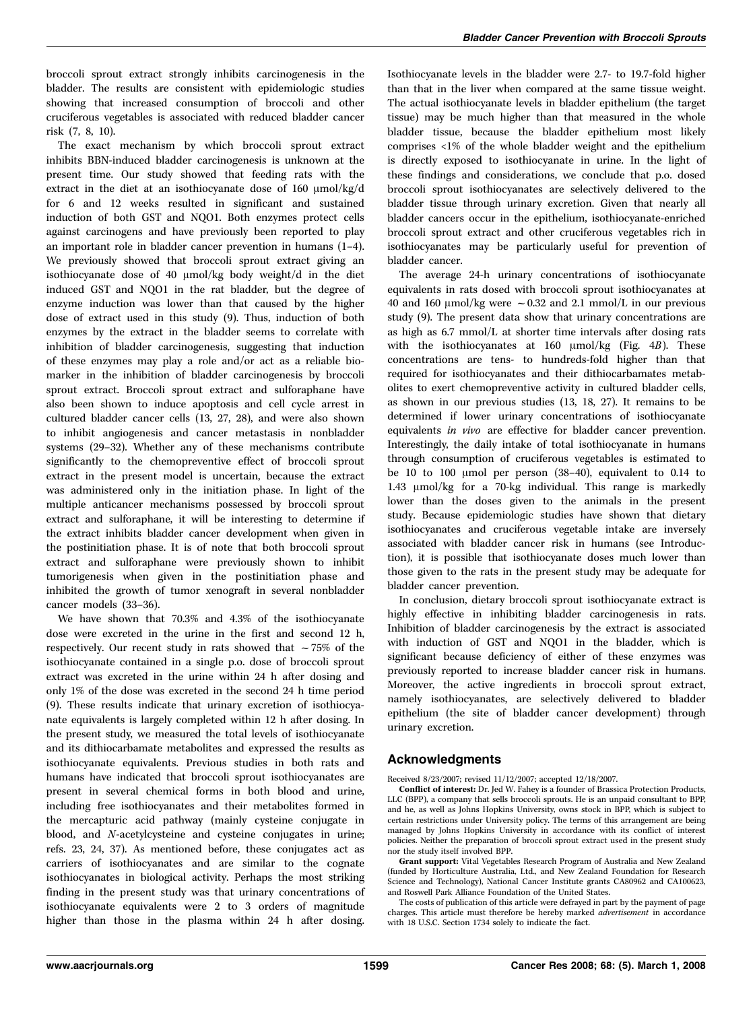broccoli sprout extract strongly inhibits carcinogenesis in the bladder. The results are consistent with epidemiologic studies showing that increased consumption of broccoli and other cruciferous vegetables is associated with reduced bladder cancer risk (7, 8, 10).

The exact mechanism by which broccoli sprout extract inhibits BBN-induced bladder carcinogenesis is unknown at the present time. Our study showed that feeding rats with the extract in the diet at an isothiocyanate dose of  $160 \mu \text{mol/kg/d}$ for 6 and 12 weeks resulted in significant and sustained induction of both GST and NQO1. Both enzymes protect cells against carcinogens and have previously been reported to play an important role in bladder cancer prevention in humans (1–4). We previously showed that broccoli sprout extract giving an isothiocyanate dose of 40  $\mu$ mol/kg body weight/d in the diet induced GST and NQO1 in the rat bladder, but the degree of enzyme induction was lower than that caused by the higher dose of extract used in this study (9). Thus, induction of both enzymes by the extract in the bladder seems to correlate with inhibition of bladder carcinogenesis, suggesting that induction of these enzymes may play a role and/or act as a reliable biomarker in the inhibition of bladder carcinogenesis by broccoli sprout extract. Broccoli sprout extract and sulforaphane have also been shown to induce apoptosis and cell cycle arrest in cultured bladder cancer cells (13, 27, 28), and were also shown to inhibit angiogenesis and cancer metastasis in nonbladder systems (29–32). Whether any of these mechanisms contribute significantly to the chemopreventive effect of broccoli sprout extract in the present model is uncertain, because the extract was administered only in the initiation phase. In light of the multiple anticancer mechanisms possessed by broccoli sprout extract and sulforaphane, it will be interesting to determine if the extract inhibits bladder cancer development when given in the postinitiation phase. It is of note that both broccoli sprout extract and sulforaphane were previously shown to inhibit tumorigenesis when given in the postinitiation phase and inhibited the growth of tumor xenograft in several nonbladder cancer models (33–36).

We have shown that 70.3% and 4.3% of the isothiocyanate dose were excreted in the urine in the first and second 12 h, respectively. Our recent study in rats showed that  $\sim$  75% of the isothiocyanate contained in a single p.o. dose of broccoli sprout extract was excreted in the urine within 24 h after dosing and only 1% of the dose was excreted in the second 24 h time period (9). These results indicate that urinary excretion of isothiocyanate equivalents is largely completed within 12 h after dosing. In the present study, we measured the total levels of isothiocyanate and its dithiocarbamate metabolites and expressed the results as isothiocyanate equivalents. Previous studies in both rats and humans have indicated that broccoli sprout isothiocyanates are present in several chemical forms in both blood and urine, including free isothiocyanates and their metabolites formed in the mercapturic acid pathway (mainly cysteine conjugate in blood, and N-acetylcysteine and cysteine conjugates in urine; refs. 23, 24, 37). As mentioned before, these conjugates act as carriers of isothiocyanates and are similar to the cognate isothiocyanates in biological activity. Perhaps the most striking finding in the present study was that urinary concentrations of isothiocyanate equivalents were 2 to 3 orders of magnitude higher than those in the plasma within 24 h after dosing.

Isothiocyanate levels in the bladder were 2.7- to 19.7-fold higher than that in the liver when compared at the same tissue weight. The actual isothiocyanate levels in bladder epithelium (the target tissue) may be much higher than that measured in the whole bladder tissue, because the bladder epithelium most likely comprises <1% of the whole bladder weight and the epithelium is directly exposed to isothiocyanate in urine. In the light of these findings and considerations, we conclude that p.o. dosed broccoli sprout isothiocyanates are selectively delivered to the bladder tissue through urinary excretion. Given that nearly all bladder cancers occur in the epithelium, isothiocyanate-enriched broccoli sprout extract and other cruciferous vegetables rich in isothiocyanates may be particularly useful for prevention of bladder cancer.

The average 24-h urinary concentrations of isothiocyanate equivalents in rats dosed with broccoli sprout isothiocyanates at 40 and 160  $\mu$ mol/kg were ~0.32 and 2.1 mmol/L in our previous study (9). The present data show that urinary concentrations are as high as 6.7 mmol/L at shorter time intervals after dosing rats with the isothiocyanates at 160  $\mu$ mol/kg (Fig. 4B). These concentrations are tens- to hundreds-fold higher than that required for isothiocyanates and their dithiocarbamates metabolites to exert chemopreventive activity in cultured bladder cells, as shown in our previous studies (13, 18, 27). It remains to be determined if lower urinary concentrations of isothiocyanate equivalents in vivo are effective for bladder cancer prevention. Interestingly, the daily intake of total isothiocyanate in humans through consumption of cruciferous vegetables is estimated to be 10 to 100  $\mu$ mol per person (38-40), equivalent to 0.14 to  $1.43 \, \mu \text{mol/kg}$  for a 70-kg individual. This range is markedly lower than the doses given to the animals in the present study. Because epidemiologic studies have shown that dietary isothiocyanates and cruciferous vegetable intake are inversely associated with bladder cancer risk in humans (see Introduction), it is possible that isothiocyanate doses much lower than those given to the rats in the present study may be adequate for bladder cancer prevention.

In conclusion, dietary broccoli sprout isothiocyanate extract is highly effective in inhibiting bladder carcinogenesis in rats. Inhibition of bladder carcinogenesis by the extract is associated with induction of GST and NQO1 in the bladder, which is significant because deficiency of either of these enzymes was previously reported to increase bladder cancer risk in humans. Moreover, the active ingredients in broccoli sprout extract, namely isothiocyanates, are selectively delivered to bladder epithelium (the site of bladder cancer development) through urinary excretion.

## Acknowledgments

Received 8/23/2007; revised 11/12/2007; accepted 12/18/2007.

Conflict of interest: Dr. Jed W. Fahey is a founder of Brassica Protection Products, LLC (BPP), a company that sells broccoli sprouts. He is an unpaid consultant to BPP, and he, as well as Johns Hopkins University, owns stock in BPP, which is subject to certain restrictions under University policy. The terms of this arrangement are being managed by Johns Hopkins University in accordance with its conflict of interest policies. Neither the preparation of broccoli sprout extract used in the present study nor the study itself involved BPP.

Grant support: Vital Vegetables Research Program of Australia and New Zealand (funded by Horticulture Australia, Ltd., and New Zealand Foundation for Research Science and Technology), National Cancer Institute grants CA80962 and CA100623, and Roswell Park Alliance Foundation of the United States.

The costs of publication of this article were defrayed in part by the payment of page charges. This article must therefore be hereby marked advertisement in accordance with 18 U.S.C. Section 1734 solely to indicate the fact.